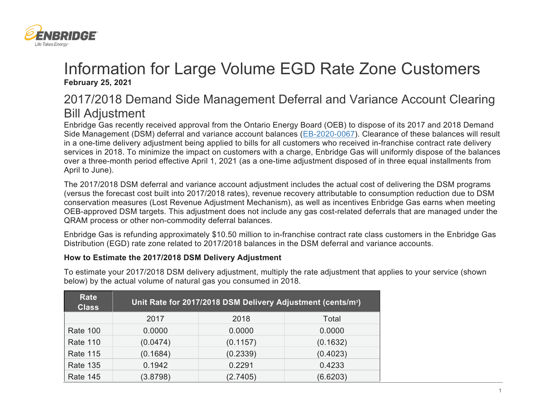

## Information for Large Volume EGD Rate Zone Customers **February 25, 2021**

## 2017/2018 Demand Side Management Deferral and Variance Account Clearing Bill Adjustment

Enbridge Gas recently received approval from the Ontario Energy Board (OEB) to dispose of its 2017 and 2018 Demand Side Management (DSM) deferral and variance account balances [\(EB-2020-0067\)](https://www.enbridgegas.com/Regulatory-Proceedings). Clearance of these balances will result in a one-time delivery adjustment being applied to bills for all customers who received in-franchise contract rate delivery services in 2018. To minimize the impact on customers with a charge, Enbridge Gas will uniformly dispose of the balances over a three-month period effective April 1, 2021 (as a one-time adjustment disposed of in three equal installments from April to June).

The 2017/2018 DSM deferral and variance account adjustment includes the actual cost of delivering the DSM programs (versus the forecast cost built into 2017/2018 rates), revenue recovery attributable to consumption reduction due to DSM conservation measures (Lost Revenue Adjustment Mechanism), as well as incentives Enbridge Gas earns when meeting OEB-approved DSM targets. This adjustment does not include any gas cost-related deferrals that are managed under the QRAM process or other non-commodity deferral balances.

Enbridge Gas is refunding approximately \$10.50 million to in-franchise contract rate class customers in the Enbridge Gas Distribution (EGD) rate zone related to 2017/2018 balances in the DSM deferral and variance accounts.

## **How to Estimate the 2017/2018 DSM Delivery Adjustment**

| Rate<br><b>Class</b> | Unit Rate for 2017/2018 DSM Delivery Adjustment (cents/m <sup>3</sup> ) |          |          |  |
|----------------------|-------------------------------------------------------------------------|----------|----------|--|
|                      | 2017                                                                    | 2018     | Total    |  |
| <b>Rate 100</b>      | 0.0000                                                                  | 0.0000   | 0.0000   |  |
| <b>Rate 110</b>      | (0.0474)                                                                | (0.1157) | (0.1632) |  |
| <b>Rate 115</b>      | (0.1684)                                                                | (0.2339) | (0.4023) |  |
| <b>Rate 135</b>      | 0.1942                                                                  | 0.2291   | 0.4233   |  |
| <b>Rate 145</b>      | (3.8798)                                                                | (2.7405) | (6.6203) |  |

To estimate your 2017/2018 DSM delivery adjustment, multiply the rate adjustment that applies to your service (shown below) by the actual volume of natural gas you consumed in 2018.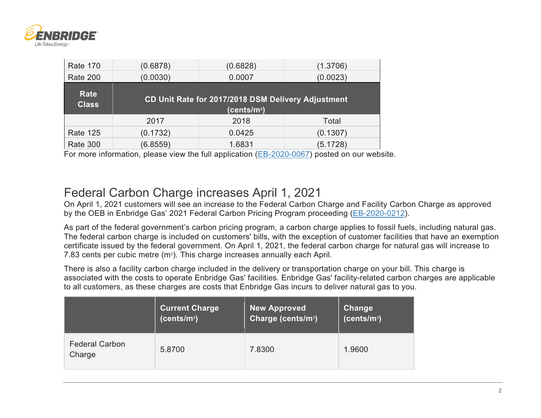

| <b>Rate 170</b>      | (0.6878)                                                                      | (0.6828) | (1.3706) |  |  |
|----------------------|-------------------------------------------------------------------------------|----------|----------|--|--|
| <b>Rate 200</b>      | (0.0030)                                                                      | 0.0007   | (0.0023) |  |  |
| Rate<br><b>Class</b> | CD Unit Rate for 2017/2018 DSM Delivery Adjustment<br>(cents/m <sup>3</sup> ) |          |          |  |  |
|                      |                                                                               |          |          |  |  |
|                      | 2017                                                                          | 2018     | Total    |  |  |
| <b>Rate 125</b>      | (0.1732)                                                                      | 0.0425   | (0.1307) |  |  |

For more information, please view the full application [\(EB-2020-0067\)](https://www.enbridgegas.com/Regulatory-Proceedings) posted on our website.

## Federal Carbon Charge increases April 1, 2021

On April 1, 2021 customers will see an increase to the Federal Carbon Charge and Facility Carbon Charge as approved by the OEB in Enbridge Gas' 2021 Federal Carbon Pricing Program proceeding [\(EB-2020-0212\)](https://www.enbridgegas.com/Regulatory-Proceedings).

As part of the federal government's carbon pricing program, a carbon charge applies to fossil fuels, including natural gas. The federal carbon charge is included on customers' bills, with the exception of customer facilities that have an exemption certificate issued by the federal government. On April 1, 2021, the federal carbon charge for natural gas will increase to 7.83 cents per cubic metre (m<sup>3</sup>). This charge increases annually each April.

There is also a facility carbon charge included in the delivery or transportation charge on your bill. This charge is associated with the costs to operate Enbridge Gas' facilities. Enbridge Gas' facility-related carbon charges are applicable to all customers, as these charges are costs that Enbridge Gas incurs to deliver natural gas to you.

|                                 | <b>Current Charge</b>   | New Approved                   | Change                  |
|---------------------------------|-------------------------|--------------------------------|-------------------------|
|                                 | (cents/m <sup>3</sup> ) | Charge (cents/m <sup>3</sup> ) | (cents/m <sup>3</sup> ) |
| <b>Federal Carbon</b><br>Charge | 5.8700                  | 7.8300                         | 1.9600                  |